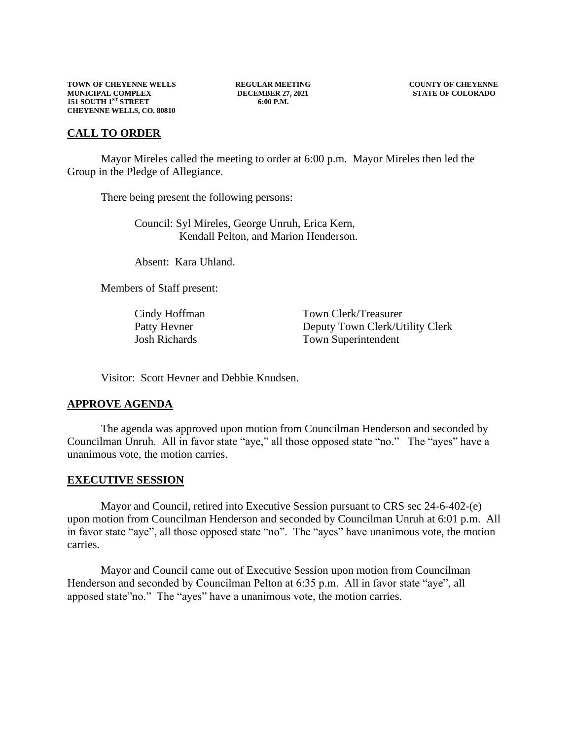# **CALL TO ORDER**

Mayor Mireles called the meeting to order at 6:00 p.m. Mayor Mireles then led the Group in the Pledge of Allegiance.

There being present the following persons:

Council: Syl Mireles, George Unruh, Erica Kern, Kendall Pelton, and Marion Henderson.

Absent: Kara Uhland.

Members of Staff present:

Cindy Hoffman Town Clerk/Treasurer Patty Hevner Deputy Town Clerk/Utility Clerk Josh Richards Town Superintendent

Visitor: Scott Hevner and Debbie Knudsen.

# **APPROVE AGENDA**

The agenda was approved upon motion from Councilman Henderson and seconded by Councilman Unruh. All in favor state "aye," all those opposed state "no." The "ayes" have a unanimous vote, the motion carries.

#### **EXECUTIVE SESSION**

Mayor and Council, retired into Executive Session pursuant to CRS sec 24-6-402-(e) upon motion from Councilman Henderson and seconded by Councilman Unruh at 6:01 p.m. All in favor state "aye", all those opposed state "no". The "ayes" have unanimous vote, the motion carries.

Mayor and Council came out of Executive Session upon motion from Councilman Henderson and seconded by Councilman Pelton at 6:35 p.m. All in favor state "aye", all apposed state"no." The "ayes" have a unanimous vote, the motion carries.